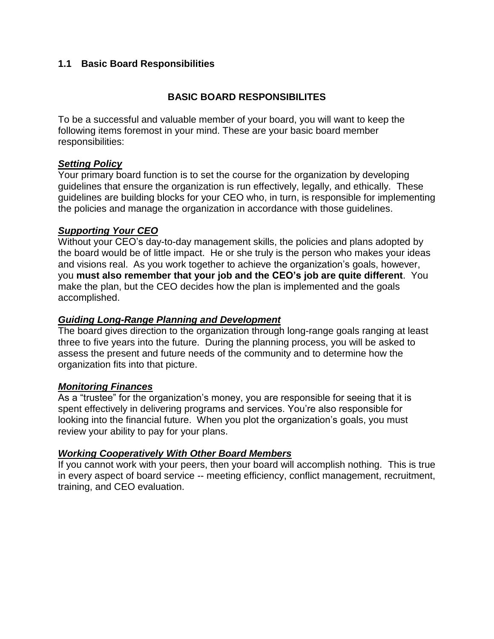## **1.1 Basic Board Responsibilities**

## **BASIC BOARD RESPONSIBILITES**

To be a successful and valuable member of your board, you will want to keep the following items foremost in your mind. These are your basic board member responsibilities:

### *Setting Policy*

Your primary board function is to set the course for the organization by developing guidelines that ensure the organization is run effectively, legally, and ethically. These guidelines are building blocks for your CEO who, in turn, is responsible for implementing the policies and manage the organization in accordance with those guidelines.

#### *Supporting Your CEO*

Without your CEO's day-to-day management skills, the policies and plans adopted by the board would be of little impact. He or she truly is the person who makes your ideas and visions real. As you work together to achieve the organization's goals, however, you **must also remember that your job and the CEO's job are quite different**. You make the plan, but the CEO decides how the plan is implemented and the goals accomplished.

### *Guiding Long-Range Planning and Development*

The board gives direction to the organization through long-range goals ranging at least three to five years into the future. During the planning process, you will be asked to assess the present and future needs of the community and to determine how the organization fits into that picture.

### *Monitoring Finances*

As a "trustee" for the organization's money, you are responsible for seeing that it is spent effectively in delivering programs and services. You're also responsible for looking into the financial future. When you plot the organization's goals, you must review your ability to pay for your plans.

#### *Working Cooperatively With Other Board Members*

If you cannot work with your peers, then your board will accomplish nothing. This is true in every aspect of board service -- meeting efficiency, conflict management, recruitment, training, and CEO evaluation.